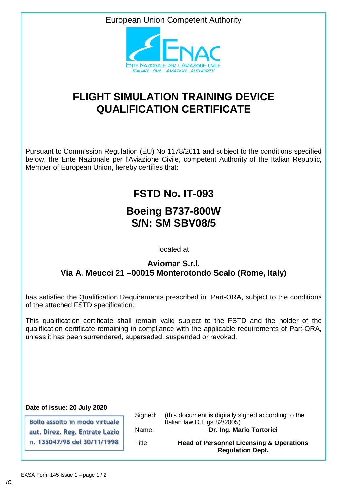European Union Competent Authority



## **FLIGHT SIMULATION TRAINING DEVICE QUALIFICATION CERTIFICATE**

Pursuant to Commission Regulation (EU) No 1178/2011 and subject to the conditions specified below, the Ente Nazionale per l'Aviazione Civile, competent Authority of the Italian Republic, Member of European Union, hereby certifies that:

# **FSTD No. IT-093**

### **Boeing B737-800W S/N: SM SBV08/5**

located at

#### **Aviomar S.r.l. Via A. Meucci 21 –00015 Monterotondo Scalo (Rome, Italy)**

has satisfied the Qualification Requirements prescribed in Part-ORA, subject to the conditions of the attached FSTD specification.

This qualification certificate shall remain valid subject to the FSTD and the holder of the qualification certificate remaining in compliance with the applicable requirements of Part-ORA, unless it has been surrendered, superseded, suspended or revoked.

**Date of issue: 20 July 2020**

**Bollo assolto in modo virtuale aut. Direz. Reg. Entrate Lazio n. 135047/98 del 30/11/1998** 

Signed: (this document is digitally signed according to the Italian law D.L.gs 82/2005) Name: **Dr. Ing. Mario Tortorici** Title: **Head of Personnel Licensing & Operations Regulation Dept.**